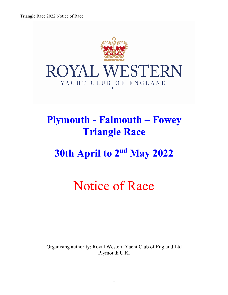

## **Plymouth - Falmouth – Fowey Triangle Race**

# **30th April to 2nd May 2022**

# Notice of Race

Organising authority: Royal Western Yacht Club of England Ltd Plymouth U.K.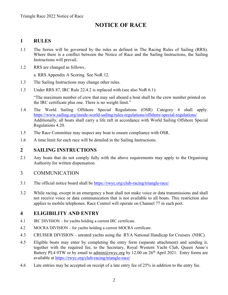### **NOTICE OF RACE**

#### **1 RULES**

- 1.1 The Series will be governed by the rules as defined in The Racing Rules of Sailing (RRS). Where there is a conflict between the Notice of Race and the Sailing Instructions, the Sailing Instructions will prevail.
- 1.2 RRS are changed as follows..

a. RRS Appendix A Scoring. See NoR 12.

- 1.3 The Sailing Instructions may change other rules.
- 1.3 Under RRS 87, IRC Rule 22.4.2 is replaced with (see also NoR 6.1):

"The maximum number of crew that may sail aboard a boat shall be the crew number printed on the IRC certificate plus one. There is no weight limit."

- 1.4 The World Sailing Offshore Special Regulations (OSR) Category 4 shall apply. https://www.sailing.org/inside-world-sailing/rules-regulations/offshore-special-regulations/ Additionally, all boats shall carry a life raft in accordance with World Sailing Offshore Special Regulations 4.20.
- 1.5 The Race Committee may inspect any boat to ensure compliance with OSR.
- 1.6 A time limit for each race will be detailed in the Sailing Instructions.

#### **2 SAILING INSTRUCTIONS**

2.1 Any boats that do not comply fully with the above requirements may apply to the Organising Authority for written dispensation.

#### 3 COMMUNICATION

- 3.1 The official notice board shall be https://rwyc.org/club-racing/triangle-race/
- 3.2 While racing, except in an emergency a boat shall not make voice or data transmissions and shall not receive voice or data communication that is not available to all boats. This restriction also applies to mobile telephones. Race Control will operate on Channel 77 in each port.

#### **4 ELIGIBILITY AND ENTRY**

- 4.1 IRC DIVISION for yachts holding a current IRC certificate.
- 4.2 MOCRA DIVISION for yachts holding a current MOCRA certificate.
- 4.3 CRUISER DIVISION unrated yachts using the RYA National Handicap for Cruisers (NHC).
- 4.5 Eligible boats may enter by completing the entry form (separate attachment) and sending it, together with the required fee, to the Secretary, Royal Western Yacht Club, Queen Anne's Battery PL4 0TW or by email to admin@rwyc.org by 12.00 on  $26<sup>th</sup>$  April 2021. Entry forms are available at https://rwyc.org/club-racing/triangle-race/
- 4.6 Late entries may be accepted on receipt of a late entry fee of 25% in addition to the entry fee.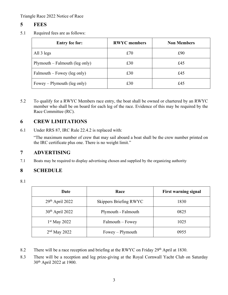#### **5 FEES**

5.1 Required fees are as follows:

| <b>Entry fee for:</b>            | <b>RWYC</b> members | <b>Non Members</b> |
|----------------------------------|---------------------|--------------------|
| All 3 legs                       | £70                 | £90                |
| $Plymouth - Falmouth (leg only)$ | £30                 | £45                |
| $Falmouth - Fowey (leg only)$    | £30                 | £45                |
| Fowey – Plymouth (leg only)      | £30                 | £45                |

5.2 To qualify for a RWYC Members race entry, the boat shall be owned or chartered by an RWYC member who shall be on board for each leg of the race. Evidence of this may be required by the Race Committee (RC).

#### **6 CREW LIMITATIONS**

6.1 Under RRS 87, IRC Rule 22.4.2 is replaced with:

"The maximum number of crew that may sail aboard a boat shall be the crew number printed on the IRC certificate plus one. There is no weight limit."

#### **7 ADVERTISING**

7.1 Boats may be required to display advertising chosen and supplied by the organizing authority

#### **8 SCHEDULE**

8.1

| Date              | Race                   | <b>First warning signal</b> |
|-------------------|------------------------|-----------------------------|
| $29th$ April 2022 | Skippers Briefing RWYC | 1830                        |
| $30th$ April 2022 | Plymouth - Falmouth    | 0825                        |
| $1st$ May 2022    | Falmouth – Fowey       | 1025                        |
| $2nd$ May 2022    | $Fowey$ – Plymouth     | 0955                        |

- 8.2 There will be a race reception and briefing at the RWYC on Friday 29<sup>th</sup> April at 1830.
- 8.3 There will be a reception and leg prize-giving at the Royal Cornwall Yacht Club on Saturday 30th April 2022 at 1900.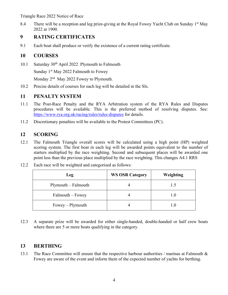Triangle Race 2022 Notice of Race

8.4 There will be a reception and leg prize-giving at the Royal Fowey Yacht Club on Sunday 1<sup>st</sup> May 2022 at 1900.

#### **9 RATING CERTIFICATES**

9.1 Each boat shall produce or verify the existence of a current rating certificate.

#### **10 COURSES**

10.1 Saturday 30<sup>th</sup> April 2022 Plymouth to Falmouth

Sunday 1<sup>st</sup> May 2022 Falmouth to Fowey

Monday  $2<sup>nd</sup>$  May 2022 Fowey to Plymouth.

10.2 Precise details of courses for each leg will be detailed in the SIs.

#### **11 PENALTY SYSTEM**

- 11.1 The Post-Race Penalty and the RYA Arbitration system of the RYA Rules and Disputes procedures will be available. This is the preferred method of resolving disputes. See: https://www.rya.org.uk/racing/rules/rules-disputes for details.
- 11.2 Discretionary penalties will be available to the Protest Committees (PC).

#### **12 SCORING**

12.1 The Falmouth Triangle overall scores will be calculated using a high point (HP) weighted scoring system. The first boat in each leg will be awarded points equivalent to the number of starters multiplied by the race weighting. Second and subsequent places will be awarded one point less than the previous place multiplied by the race weighting. This changes A4.1 RRS

| Leg                 | <b>WS OSR Category</b> | Weighting |
|---------------------|------------------------|-----------|
| Plymouth – Falmouth |                        |           |
| Falmouth – Fowey    |                        |           |
| $Fowey$ – Plymouth  |                        |           |

12.2 Each race will be weighted and categorised as follows:

12.3 A separate prize will be awarded for either single-handed, double-handed or half crew boats where there are 5 or more boats qualifying in the category.

#### **13 BERTHING**

13.1 The Race Committee will ensure that the respective harbour authorities / marinas at Falmouth  $\&$ Fowey are aware of the event and inform them of the expected number of yachts for berthing.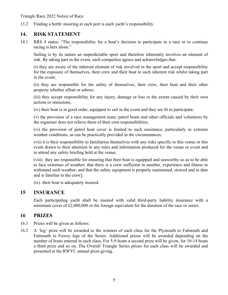Triangle Race 2022 Notice of Race

13.2 Finding a berth/ mooring at each port is each yacht's responsibility.

#### **14. RISK STATEMENT**

14.1 RRS 4 states: "The responsibility for a boat's decision to participate in a race or to continue racing is hers alone."

Sailing is by its nature an unpredictable sport and therefore inherently involves an element of risk. By taking part in the event, each competitor agrees and acknowledges that:

(i) they are aware of the inherent element of risk involved in the sport and accept responsibility for the exposure of themselves, their crew and their boat to such inherent risk whilst taking part in the event;

(ii) they are responsible for the safety of themselves, their crew, their boat and their other property whether afloat or ashore;

(iii) they accept responsibility for any injury, damage or loss to the extent caused by their own actions or omissions;

(iv) their boat is in good order, equipped to sail in the event and they are fit to participate;

(v) the provision of a race management team, patrol boats and other officials and volunteers by the organiser does not relieve them of their own responsibilities;

(vi) the provision of patrol boat cover is limited to such assistance, particularly in extreme weather conditions, as can be practically provided in the circumstances;

(vii) it is their responsibility to familiarise themselves with any risks specific to this venue or this event drawn to their attention in any rules and information produced for the venue or event and to attend any safety briefing held at the venue;

(viii) they are responsible for ensuring that their boat is equipped and seaworthy so as to be able to face extremes of weather; that there is a crew sufficient in number, experience and fitness to withstand such weather; and that the safety equipment is properly maintained, stowed and in date and is familiar to the crew];

(ix) their boat is adequately insured.

#### **15 INSURANCE**

Each participating yacht shall be insured with valid third-party liability insurance with a minimum cover of £2,000,000 or the foreign equivalent for the duration of the race or series.

#### **16 PRIZES**

- 16.1 Prizes will be given as follows:
- 16.2 A 'leg' prize will be awarded to the winners of each class for the Plymouth to Falmouth and Falmouth to Fowey legs of the Series. Additional prizes will be awarded depending on the number of boats entered in each class, For 5-9 boats a second prize will be given, for 10-14 boats a third prize and so on. The Overall Triangle Series prizes for each class will be awarded and presented at the RWYC annual prize-giving.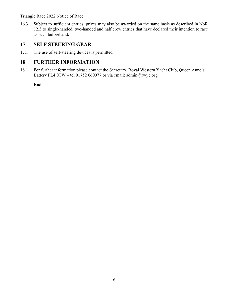#### Triangle Race 2022 Notice of Race

16.3 Subject to sufficient entries, prizes may also be awarded on the same basis as described in NoR 12.3 to single-handed, two-handed and half crew entries that have declared their intention to race as such beforehand.

#### **17 SELF STEERING GEAR**

17.1 The use of self-steering devices is permitted.

#### **18 FURTHER INFORMATION**

18.1 For further information please contact the Secretary, Royal Western Yacht Club, Queen Anne's Battery PL4 0TW – tel 01752 660077 or via email: admin@rwyc.org.

**End**